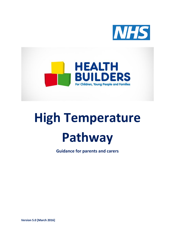



# **High Temperature Pathway**

**Guidance for parents and carers**

**Version 5.0 [March 2016]**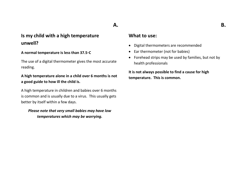# **Is my child with a high temperature unwell?**

#### **A normal temperature is less than 37.5◦C**

The use of a digital thermometer gives the most accurate reading.

## **A high temperature alone in a child over 6 months is not a good guide to how ill the child is.**

A high temperature in children and babies over 6 months is common and is usually due to a virus. This usually gets better by itself within a few days.

## *Please note that very small babies may have low temperatures which may be worrying.*

## **What to use:**

**A.**

- Digital thermometers are recommended
- Ear thermometer (not for babies)
- Forehead strips may be used by families, but not by health professionals

**It is not always possible to find a cause for high temperature. This is common.**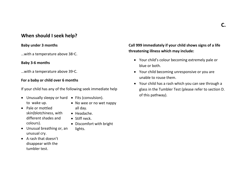# **When should I seek help?**

#### **Baby under 3 months**

…with a temperature above 38◦C.

#### **Baby 3-6 months**

…with a temperature above 39◦C.

#### **For a baby or child over 6 months**

If your child has any of the following seek immediate help

- Unusually sleepy or hard Fits (convulsion). to wake up.
	- No wee or no wet nappy
- Pale or mottled skin(blotchiness, with different shades and colours).
- Headache.

all day.

lights.

- Stiff neck.
- Discomfort with bright
- Unusual breathing or, an unusual cry.
- A rash that doesn't disappear with the tumbler test.
- **Call 999 immediately if your child shows signs of a life threatening illness which may include:**
	- Your child's colour becoming extremely pale or blue or both.
	- Your child becoming unresponsive or you are unable to rouse them.
	- Your child has a rash which you can see through a glass in the Tumbler Test (please refer to section D. of this pathway).

**C.**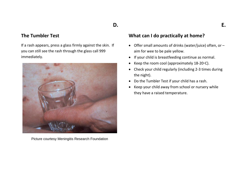# **D.**

# **The Tumbler Test**

If a rash appears, press a glass firmly against the skin. If you can still see the rash through the glass call 999 immediately.



Picture courtesy Meningitis Research Foundation

# **What can I do practically at home?**

- Offer small amounts of drinks (water/juice) often, or aim for wee to be pale yellow.
- If your child is breastfeeding continue as normal.
- Keep the room cool (approximately 18-20◦C).
- Check your child regularly (including 2-3 times during the night).
- Do the Tumbler Test if your child has a rash.
- Keep your child away from school or nursery while they have a raised temperature.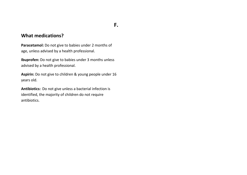# **F.**

## **What medications?**

**Paracetamol:** Do not give to babies under 2 months of age, unless advised by a health professional.

**Ibuprofen:** Do not give to babies under 3 months unless advised by a health professional.

**Aspirin:** Do not give to children & young people under 16 years old.

**Antibiotics:** Do not give unless a bacterial infection is identified, the majority of children do not require antibiotics.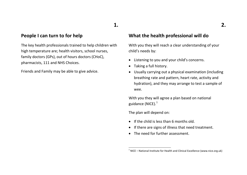# **1.**

## **People I can turn to for help**

The key health professionals trained to help children with high temperature are; health visitors, school nurses, family doctors (GPs), out of hours doctors (CHoC), pharmacists, 111 and NHS Choices.

Friends and Family may be able to give advice.

## **What the health professional will do**

With you they will reach a clear understanding of your child's needs by:

- Listening to you and your child's concerns.
- Taking a full history.
- Usually carrying out a physical examination (including breathing rate and pattern, heart rate, activity and hydration), and they may arrange to test a sample of wee.

With you they will agree a plan based on national guidance (NICE). $<sup>1</sup>$ </sup>

The plan will depend on:

**.** 

- If the child is less than 6 months old.
- If there are signs of illness that need treatment.
- The need for further assessment.

 $1$  NICE – National Institute for Health and Clinical Excellence (www.nice.org.uk)